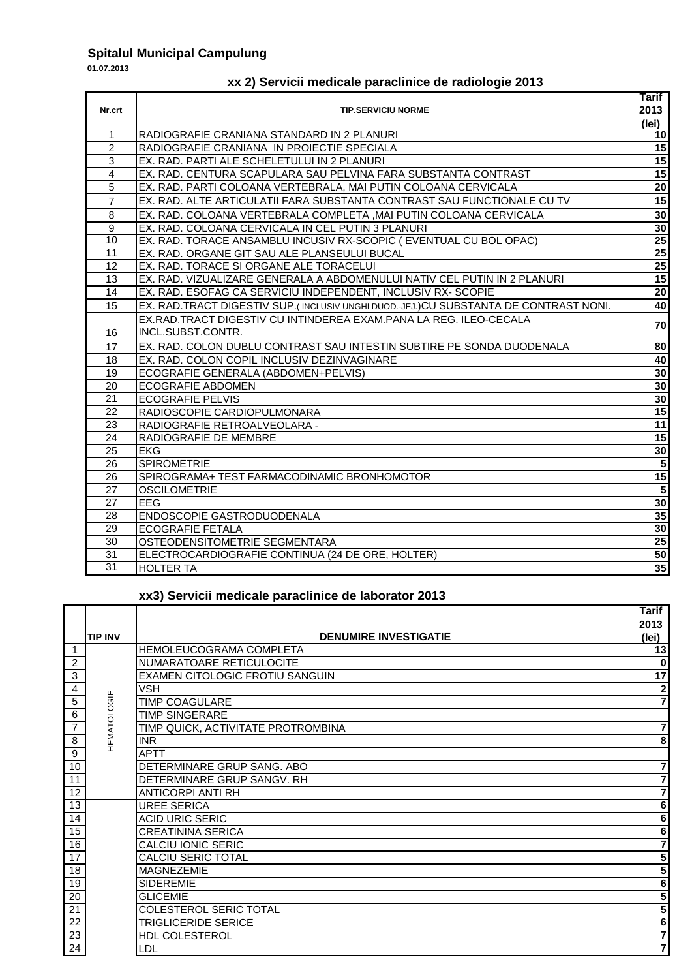## **Spitalul Municipal Campulung**

**01.07.2013**

 $\overline{\phantom{0}}$ 

## **xx 2) Servicii medicale paraclinice de radiologie 2013**

|                 |                                                                                      | <b>Tarif</b>            |
|-----------------|--------------------------------------------------------------------------------------|-------------------------|
| Nr.crt          | <b>TIP.SERVICIU NORME</b>                                                            | 2013                    |
|                 |                                                                                      | (lei)                   |
| $\mathbf{1}$    | RADIOGRAFIE CRANIANA STANDARD IN 2 PLANURI                                           | 10 <sub>l</sub>         |
| $\overline{2}$  | RADIOGRAFIE CRANIANA IN PROIECTIE SPECIALA                                           | 15                      |
| 3               | EX. RAD. PARTI ALE SCHELETULUI IN 2 PLANURI                                          | 15                      |
| $\overline{4}$  | EX. RAD. CENTURA SCAPULARA SAU PELVINA FARA SUBSTANTA CONTRAST                       | 15                      |
| 5               | EX. RAD. PARTI COLOANA VERTEBRALA, MAI PUTIN COLOANA CERVICALA                       | 20                      |
| $\overline{7}$  | EX. RAD. ALTE ARTICULATII FARA SUBSTANTA CONTRAST SAU FUNCTIONALE CU TV              | 15                      |
| 8               | EX. RAD. COLOANA VERTEBRALA COMPLETA .MAI PUTIN COLOANA CERVICALA                    | 30 <sub>1</sub>         |
| $\overline{9}$  | EX. RAD. COLOANA CERVICALA IN CEL PUTIN 3 PLANURI                                    | 30                      |
| 10              | EX. RAD. TORACE ANSAMBLU INCUSIV RX-SCOPIC (EVENTUAL CU BOL OPAC)                    | 25                      |
| 11              | EX. RAD. ORGANE GIT SAU ALE PLANSEULUI BUCAL                                         | 25                      |
| $\overline{12}$ | EX. RAD. TORACE SI ORGANE ALE TORACELUI                                              | 25                      |
| 13              | EX. RAD. VIZUALIZARE GENERALA A ABDOMENULUI NATIV CEL PUTIN IN 2 PLANURI             | 15                      |
| 14              | EX. RAD. ESOFAG CA SERVICIU INDEPENDENT, INCLUSIV RX- SCOPIE                         | 20                      |
| 15              | EX. RAD.TRACT DIGESTIV SUP.(INCLUSIV UNGHI DUOD.-JEJ.)CU SUBSTANTA DE CONTRAST NONI. | 40                      |
|                 | EX.RAD.TRACT DIGESTIV CU INTINDEREA EXAM.PANA LA REG. ILEO-CECALA                    |                         |
| 16              | INCL.SUBST.CONTR.                                                                    | 70                      |
| 17              | EX. RAD. COLON DUBLU CONTRAST SAU INTESTIN SUBTIRE PE SONDA DUODENALA                | 80                      |
| 18              | EX. RAD. COLON COPIL INCLUSIV DEZINVAGINARE                                          | 40                      |
| 19              | ECOGRAFIE GENERALA (ABDOMEN+PELVIS)                                                  | 30                      |
| $\overline{20}$ | <b>ECOGRAFIE ABDOMEN</b>                                                             | 30                      |
| 21              | <b>ECOGRAFIE PELVIS</b>                                                              | 30 <sub>1</sub>         |
| 22              | RADIOSCOPIE CARDIOPULMONARA                                                          | 15                      |
| 23              | RADIOGRAFIE RETROALVEOLARA -                                                         | 11                      |
| 24              | RADIOGRAFIE DE MEMBRE                                                                | 15                      |
| 25              | <b>EKG</b>                                                                           | 30 <sub>1</sub>         |
| 26              | <b>SPIROMETRIE</b>                                                                   | $\overline{\mathbf{5}}$ |
| 26              | SPIROGRAMA+ TEST FARMACODINAMIC BRONHOMOTOR                                          | 15                      |
| 27              | <b>OSCILOMETRIE</b>                                                                  | 5                       |
| 27              | EEG                                                                                  | 30                      |
| 28              | ENDOSCOPIE GASTRODUODENALA                                                           | 35                      |
| 29              | <b>ECOGRAFIE FETALA</b>                                                              | 30 <sub>1</sub>         |
| 30              | OSTEODENSITOMETRIE SEGMENTARA                                                        | 25                      |
| 31              | ELECTROCARDIOGRAFIE CONTINUA (24 DE ORE, HOLTER)                                     | 50                      |
| 31              | <b>HOLTER TA</b>                                                                     | 35                      |

## **xx3) Servicii medicale paraclinice de laborator 2013**

|                 |                    |                                    | <b>Tarif</b>    |
|-----------------|--------------------|------------------------------------|-----------------|
|                 |                    |                                    | 2013            |
|                 | <b>TIP INV</b>     | <b>DENUMIRE INVESTIGATIE</b>       | (lei)           |
|                 |                    | <b>HEMOLEUCOGRAMA COMPLETA</b>     | $\overline{13}$ |
| $\overline{2}$  |                    | NUMARATOARE RETICULOCITE           | 0               |
| 3               |                    | EXAMEN CITOLOGIC FROTIU SANGUIN    | $\overline{17}$ |
| 4               |                    | <b>VSH</b>                         | $\mathbf 2$     |
| 5               |                    | <b>TIMP COAGULARE</b>              | 7               |
| $\overline{6}$  |                    | <b>TIMP SINGERARE</b>              |                 |
| $\overline{7}$  | <b>HEMATOLOGIE</b> | TIMP QUICK, ACTIVITATE PROTROMBINA | 7               |
| 8               |                    | <b>INR</b>                         | 8               |
| $\overline{9}$  |                    | <b>APTT</b>                        |                 |
| 10              |                    | DETERMINARE GRUP SANG. ABO         | 7               |
| 11              |                    | DETERMINARE GRUP SANGV. RH         | 7               |
| $\overline{12}$ |                    | <b>ANTICORPI ANTI RH</b>           | 7               |
| 13              |                    | <b>UREE SERICA</b>                 | 6               |
| 14              |                    | <b>ACID URIC SERIC</b>             | 6               |
| 15              |                    | <b>CREATININA SERICA</b>           | 6               |
| 16              |                    | CALCIU IONIC SERIC                 | 7               |
| 17              |                    | <b>CALCIU SERIC TOTAL</b>          | 5               |
| 18              |                    | <b>MAGNEZEMIE</b>                  | 5               |
| 19              |                    | <b>SIDEREMIE</b>                   | 6               |
| $\overline{20}$ |                    | <b>GLICEMIE</b>                    | 5               |
| 21              |                    | COLESTEROL SERIC TOTAL             | 5               |
| 22              |                    | TRIGLICERIDE SERICE                | 6               |
| 23              |                    | HDL COLESTEROL                     | 7               |
| $\overline{24}$ |                    | LDL                                | $\overline{7}$  |